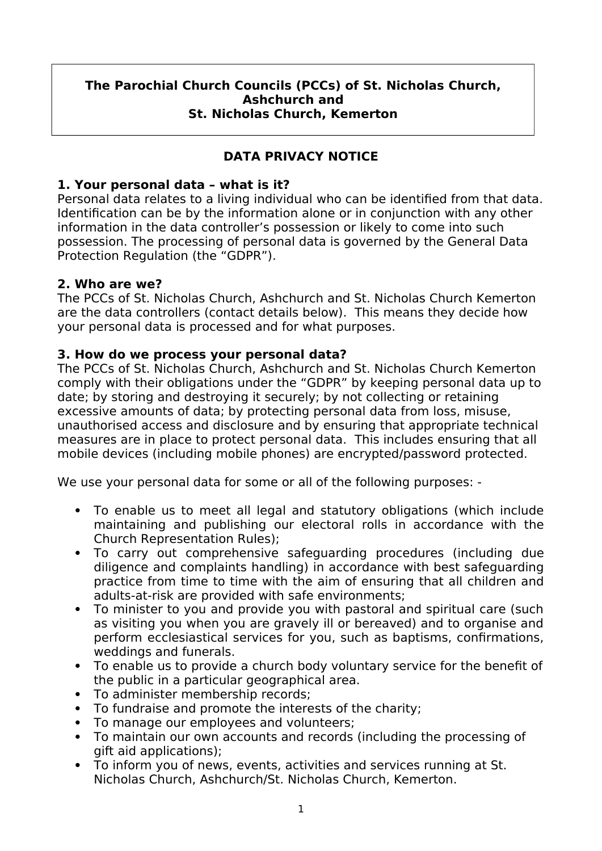#### **The Parochial Church Councils (PCCs) of St. Nicholas Church, Ashchurch and St. Nicholas Church, Kemerton**

# **DATA PRIVACY NOTICE**

### **1. Your personal data – what is it?**

Personal data relates to a living individual who can be identifed from that data. Identifcation can be by the information alone or in conjunction with any other information in the data controller's possession or likely to come into such possession. The processing of personal data is governed by the General Data Protection Regulation (the "GDPR").

#### **2. Who are we?**

The PCCs of St. Nicholas Church, Ashchurch and St. Nicholas Church Kemerton are the data controllers (contact details below). This means they decide how your personal data is processed and for what purposes.

#### **3. How do we process your personal data?**

The PCCs of St. Nicholas Church, Ashchurch and St. Nicholas Church Kemerton comply with their obligations under the "GDPR" by keeping personal data up to date; by storing and destroying it securely; by not collecting or retaining excessive amounts of data; by protecting personal data from loss, misuse, unauthorised access and disclosure and by ensuring that appropriate technical measures are in place to protect personal data. This includes ensuring that all mobile devices (including mobile phones) are encrypted/password protected.

We use your personal data for some or all of the following purposes: -

- To enable us to meet all legal and statutory obligations (which include maintaining and publishing our electoral rolls in accordance with the Church Representation Rules);
- To carry out comprehensive safeguarding procedures (including due diligence and complaints handling) in accordance with best safeguarding practice from time to time with the aim of ensuring that all children and adults-at-risk are provided with safe environments;
- To minister to you and provide you with pastoral and spiritual care (such as visiting you when you are gravely ill or bereaved) and to organise and perform ecclesiastical services for you, such as baptisms, confrmations, weddings and funerals.
- To enable us to provide a church body voluntary service for the beneft of the public in a particular geographical area.
- To administer membership records;
- To fundraise and promote the interests of the charity;
- To manage our employees and volunteers;
- To maintain our own accounts and records (including the processing of gift aid applications);
- To inform you of news, events, activities and services running at St. Nicholas Church, Ashchurch/St. Nicholas Church, Kemerton.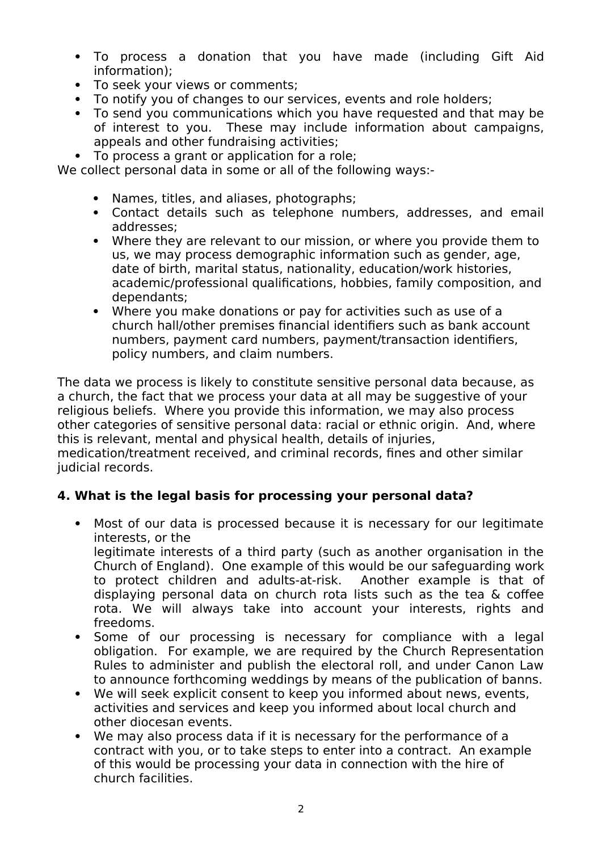- To process a donation that you have made (including Gift Aid information);
- To seek your views or comments;
- To notify you of changes to our services, events and role holders;
- To send you communications which you have requested and that may be of interest to you. These may include information about campaigns, appeals and other fundraising activities;
- To process a grant or application for a role;

We collect personal data in some or all of the following ways:-

- Names, titles, and aliases, photographs;
- Contact details such as telephone numbers, addresses, and email addresses;
- Where they are relevant to our mission, or where you provide them to us, we may process demographic information such as gender, age, date of birth, marital status, nationality, education/work histories, academic/professional qualifcations, hobbies, family composition, and dependants;
- Where you make donations or pay for activities such as use of a church hall/other premises fnancial identifers such as bank account numbers, payment card numbers, payment/transaction identifers, policy numbers, and claim numbers.

The data we process is likely to constitute sensitive personal data because, as a church, the fact that we process your data at all may be suggestive of your religious beliefs. Where you provide this information, we may also process other categories of sensitive personal data: racial or ethnic origin. And, where this is relevant, mental and physical health, details of injuries,

medication/treatment received, and criminal records, fnes and other similar judicial records.

### **4. What is the legal basis for processing your personal data?**

- Most of our data is processed because it is necessary for our legitimate interests, or the legitimate interests of a third party (such as another organisation in the Church of England). One example of this would be our safeguarding work to protect children and adults-at-risk. Another example is that of displaying personal data on church rota lists such as the tea & cofee rota. We will always take into account your interests, rights and freedoms.
- Some of our processing is necessary for compliance with a legal obligation. For example, we are required by the Church Representation Rules to administer and publish the electoral roll, and under Canon Law to announce forthcoming weddings by means of the publication of banns.
- We will seek explicit consent to keep you informed about news, events, activities and services and keep you informed about local church and other diocesan events.
- We may also process data if it is necessary for the performance of a contract with you, or to take steps to enter into a contract. An example of this would be processing your data in connection with the hire of church facilities.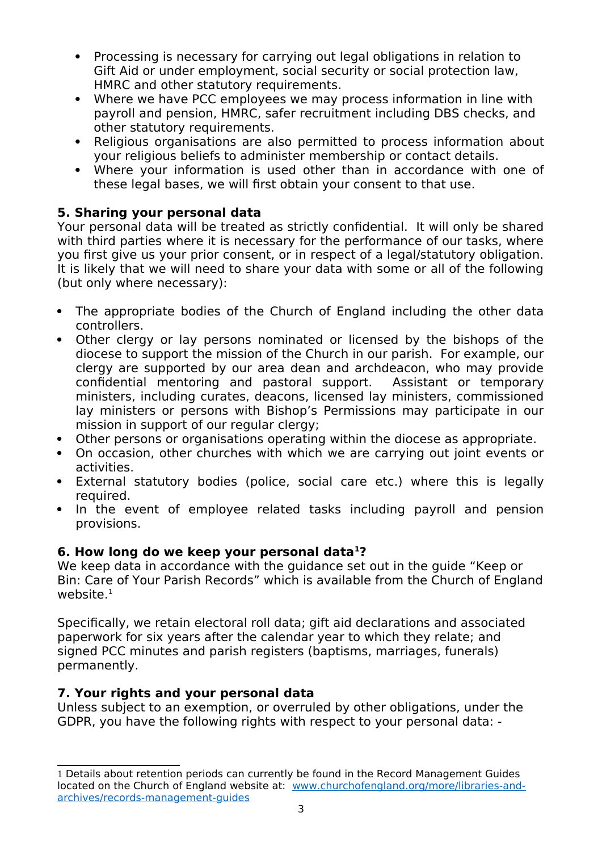- Processing is necessary for carrying out legal obligations in relation to Gift Aid or under employment, social security or social protection law, HMRC and other statutory requirements.
- Where we have PCC employees we may process information in line with payroll and pension, HMRC, safer recruitment including DBS checks, and other statutory requirements.
- Religious organisations are also permitted to process information about your religious beliefs to administer membership or contact details.
- Where your information is used other than in accordance with one of these legal bases, we will frst obtain your consent to that use.

# **5. Sharing your personal data**

Your personal data will be treated as strictly confdential. It will only be shared with third parties where it is necessary for the performance of our tasks, where you first give us your prior consent, or in respect of a legal/statutory obligation. It is likely that we will need to share your data with some or all of the following (but only where necessary):

- The appropriate bodies of the Church of England including the other data controllers.
- Other clergy or lay persons nominated or licensed by the bishops of the diocese to support the mission of the Church in our parish. For example, our clergy are supported by our area dean and archdeacon, who may provide confdential mentoring and pastoral support. Assistant or temporary ministers, including curates, deacons, licensed lay ministers, commissioned lay ministers or persons with Bishop's Permissions may participate in our mission in support of our regular clergy;
- Other persons or organisations operating within the diocese as appropriate.
- On occasion, other churches with which we are carrying out joint events or activities.
- External statutory bodies (police, social care etc.) where this is legally required.
- In the event of employee related tasks including payroll and pension provisions.

# **6. How long do we keep your personal data[1](#page-2-0)?**

We keep data in accordance with the guidance set out in the guide "Keep or Bin: Care of Your Parish Records" which is available from the Church of England website.<sup>1</sup>

Specifcally, we retain electoral roll data; gift aid declarations and associated paperwork for six years after the calendar year to which they relate; and signed PCC minutes and parish registers (baptisms, marriages, funerals) permanently.

# **7. Your rights and your personal data**

Unless subject to an exemption, or overruled by other obligations, under the GDPR, you have the following rights with respect to your personal data: -

<span id="page-2-0"></span><sup>1</sup> Details about retention periods can currently be found in the Record Management Guides located on the Church of England website at: [www.churchofengland.org/more/libraries-and](http://www.churchofengland.org/more/libraries-and-archives/records-management-guides)[archives/records-management-guides](http://www.churchofengland.org/more/libraries-and-archives/records-management-guides)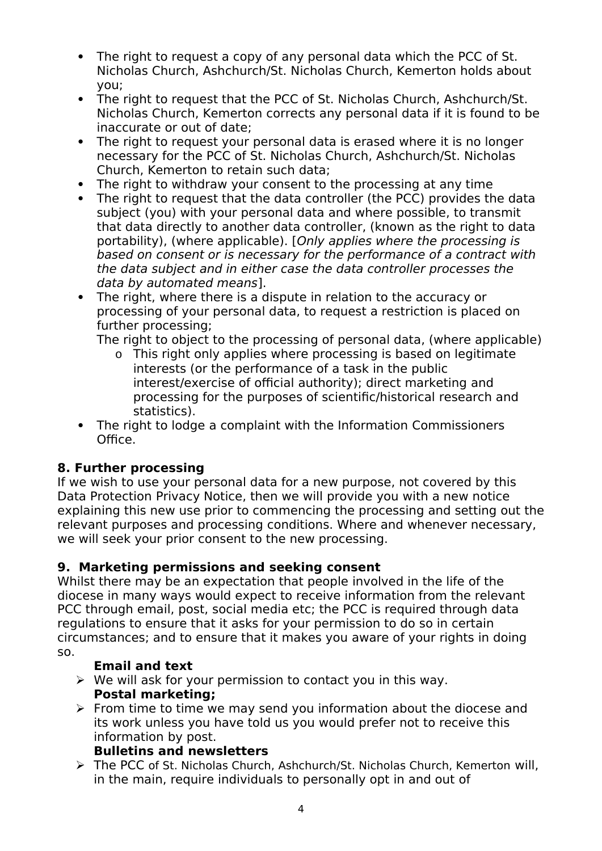- The right to request a copy of any personal data which the PCC of St. Nicholas Church, Ashchurch/St. Nicholas Church, Kemerton holds about you;
- The right to request that the PCC of St. Nicholas Church, Ashchurch/St. Nicholas Church, Kemerton corrects any personal data if it is found to be inaccurate or out of date;
- The right to request your personal data is erased where it is no longer necessary for the PCC of St. Nicholas Church, Ashchurch/St. Nicholas Church, Kemerton to retain such data;
- The right to withdraw your consent to the processing at any time
- The right to request that the data controller (the PCC) provides the data subject (you) with your personal data and where possible, to transmit that data directly to another data controller, (known as the right to data portability), (where applicable). [Only applies where the processing is based on consent or is necessary for the performance of a contract with the data subject and in either case the data controller processes the data by automated means].
- The right, where there is a dispute in relation to the accuracy or processing of your personal data, to request a restriction is placed on further processing;

The right to object to the processing of personal data, (where applicable)

- o This right only applies where processing is based on legitimate interests (or the performance of a task in the public interest/exercise of official authority); direct marketing and processing for the purposes of scientifc/historical research and statistics).
- The right to lodge a complaint with the Information Commissioners Office.

# **8. Further processing**

If we wish to use your personal data for a new purpose, not covered by this Data Protection Privacy Notice, then we will provide you with a new notice explaining this new use prior to commencing the processing and setting out the relevant purposes and processing conditions. Where and whenever necessary, we will seek your prior consent to the new processing.

# **9. Marketing permissions and seeking consent**

Whilst there may be an expectation that people involved in the life of the diocese in many ways would expect to receive information from the relevant PCC through email, post, social media etc; the PCC is required through data regulations to ensure that it asks for your permission to do so in certain circumstances; and to ensure that it makes you aware of your rights in doing so.

### **Email and text**

- $\triangleright$  We will ask for your permission to contact you in this way. **Postal marketing;**
- $\triangleright$  From time to time we may send you information about the diocese and its work unless you have told us you would prefer not to receive this information by post.

### **Bulletins and newsletters**

 The PCC of St. Nicholas Church, Ashchurch/St. Nicholas Church, Kemerton will, in the main, require individuals to personally opt in and out of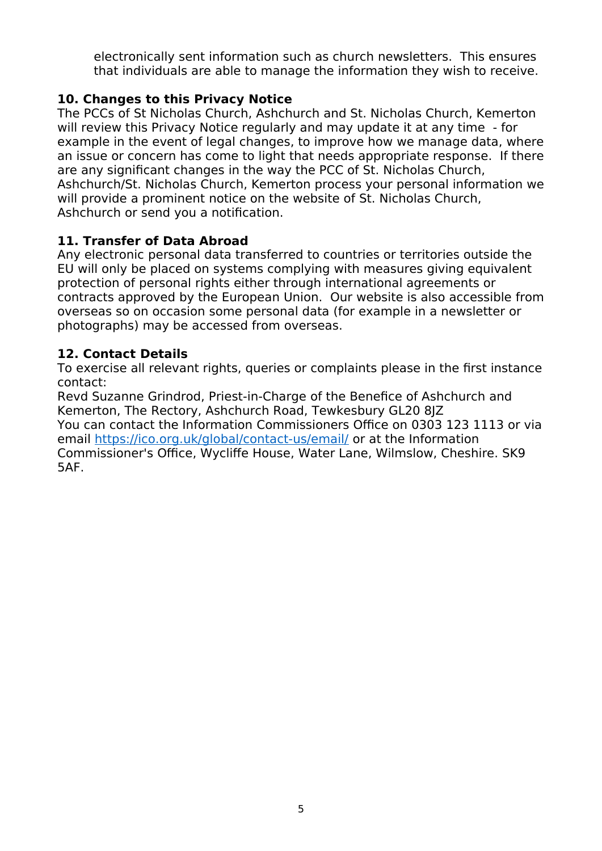electronically sent information such as church newsletters. This ensures that individuals are able to manage the information they wish to receive.

## **10. Changes to this Privacy Notice**

The PCCs of St Nicholas Church, Ashchurch and St. Nicholas Church, Kemerton will review this Privacy Notice regularly and may update it at any time - for example in the event of legal changes, to improve how we manage data, where an issue or concern has come to light that needs appropriate response. If there are any signifcant changes in the way the PCC of St. Nicholas Church, Ashchurch/St. Nicholas Church, Kemerton process your personal information we will provide a prominent notice on the website of St. Nicholas Church, Ashchurch or send you a notifcation.

## **11. Transfer of Data Abroad**

Any electronic personal data transferred to countries or territories outside the EU will only be placed on systems complying with measures giving equivalent protection of personal rights either through international agreements or contracts approved by the European Union. Our website is also accessible from overseas so on occasion some personal data (for example in a newsletter or photographs) may be accessed from overseas.

## **12. Contact Details**

To exercise all relevant rights, queries or complaints please in the frst instance contact:

Revd Suzanne Grindrod, Priest-in-Charge of the Benefce of Ashchurch and Kemerton, The Rectory, Ashchurch Road, Tewkesbury GL20 8JZ You can contact the Information Commissioners Office on 0303 123 1113 or via email<https://ico.org.uk/global/contact-us/email/>or at the Information Commissioner's Office, Wycliffe House, Water Lane, Wilmslow, Cheshire. SK9 5AF.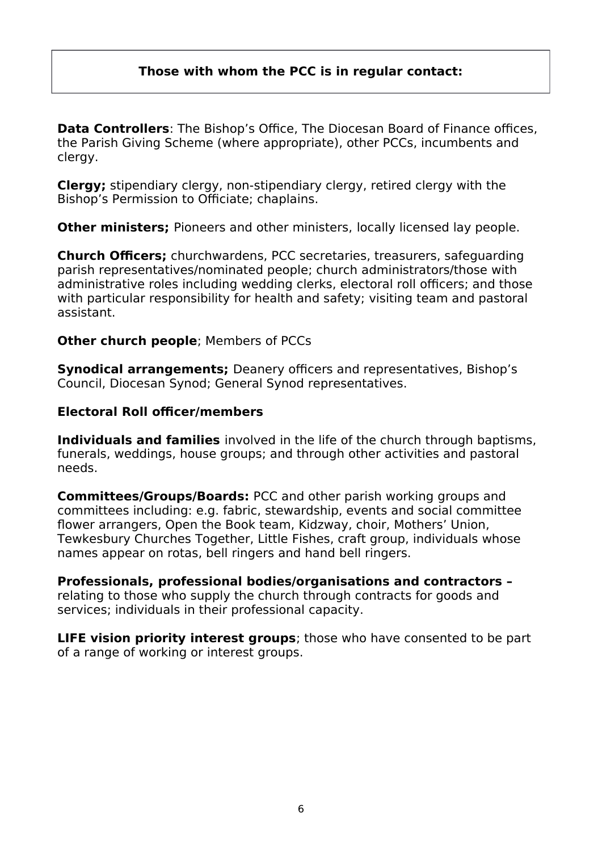#### **Those with whom the PCC is in regular contact:**

**Data Controllers:** The Bishop's Office. The Diocesan Board of Finance offices. the Parish Giving Scheme (where appropriate), other PCCs, incumbents and clergy.

**Clergy;** stipendiary clergy, non-stipendiary clergy, retired clergy with the Bishop's Permission to Officiate; chaplains.

**Other ministers;** Pioneers and other ministers, locally licensed lay people.

**Church Officers;** churchwardens, PCC secretaries, treasurers, safeguarding parish representatives/nominated people; church administrators/those with administrative roles including wedding clerks, electoral roll officers; and those with particular responsibility for health and safety; visiting team and pastoral assistant.

#### **Other church people**; Members of PCCs

**Synodical arrangements;** Deanery officers and representatives, Bishop's Council, Diocesan Synod; General Synod representatives.

#### **Electoral Roll officer/members**

**Individuals and families** involved in the life of the church through baptisms, funerals, weddings, house groups; and through other activities and pastoral needs.

**Committees/Groups/Boards: PCC and other parish working groups and** committees including: e.g. fabric, stewardship, events and social committee fower arrangers, Open the Book team, Kidzway, choir, Mothers' Union, Tewkesbury Churches Together, Little Fishes, craft group, individuals whose names appear on rotas, bell ringers and hand bell ringers.

**Professionals, professional bodies/organisations and contractors** relating to those who supply the church through contracts for goods and services; individuals in their professional capacity.

**LIFE vision priority interest groups**; those who have consented to be part of a range of working or interest groups.